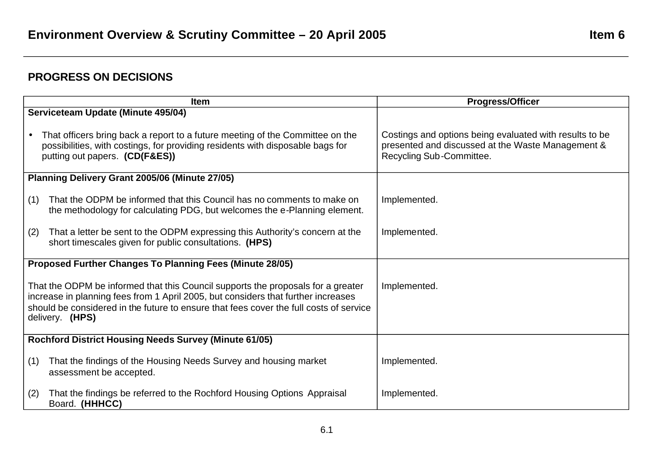## **PROGRESS ON DECISIONS**

| <b>Item</b>                                                                                                                                                                                                                                                                        | <b>Progress/Officer</b>                                                                                                                  |
|------------------------------------------------------------------------------------------------------------------------------------------------------------------------------------------------------------------------------------------------------------------------------------|------------------------------------------------------------------------------------------------------------------------------------------|
| Serviceteam Update (Minute 495/04)                                                                                                                                                                                                                                                 |                                                                                                                                          |
| That officers bring back a report to a future meeting of the Committee on the<br>possibilities, with costings, for providing residents with disposable bags for<br>putting out papers. (CD(F&ES))                                                                                  | Costings and options being evaluated with results to be<br>presented and discussed at the Waste Management &<br>Recycling Sub-Committee. |
| Planning Delivery Grant 2005/06 (Minute 27/05)                                                                                                                                                                                                                                     |                                                                                                                                          |
| That the ODPM be informed that this Council has no comments to make on<br>(1)<br>the methodology for calculating PDG, but welcomes the e-Planning element.                                                                                                                         | Implemented.                                                                                                                             |
| That a letter be sent to the ODPM expressing this Authority's concern at the<br>(2)<br>short timescales given for public consultations. (HPS)                                                                                                                                      | Implemented.                                                                                                                             |
| Proposed Further Changes To Planning Fees (Minute 28/05)                                                                                                                                                                                                                           |                                                                                                                                          |
| That the ODPM be informed that this Council supports the proposals for a greater<br>increase in planning fees from 1 April 2005, but considers that further increases<br>should be considered in the future to ensure that fees cover the full costs of service<br>delivery. (HPS) | Implemented.                                                                                                                             |
| <b>Rochford District Housing Needs Survey (Minute 61/05)</b>                                                                                                                                                                                                                       |                                                                                                                                          |
| That the findings of the Housing Needs Survey and housing market<br>(1)<br>assessment be accepted.                                                                                                                                                                                 | Implemented.                                                                                                                             |
| That the findings be referred to the Rochford Housing Options Appraisal<br>(2)<br>Board. (HHHCC)                                                                                                                                                                                   | Implemented.                                                                                                                             |